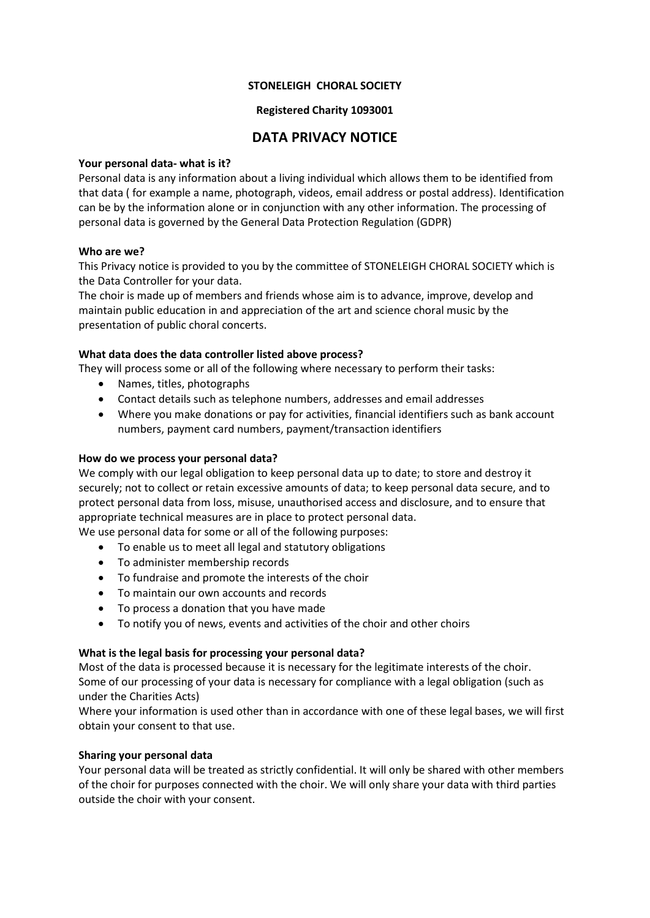## **STONELEIGH CHORAL SOCIETY**

## **Registered Charity 1093001**

# **DATA PRIVACY NOTICE**

#### **Your personal data- what is it?**

Personal data is any information about a living individual which allows them to be identified from that data ( for example a name, photograph, videos, email address or postal address). Identification can be by the information alone or in conjunction with any other information. The processing of personal data is governed by the General Data Protection Regulation (GDPR)

#### **Who are we?**

This Privacy notice is provided to you by the committee of STONELEIGH CHORAL SOCIETY which is the Data Controller for your data.

The choir is made up of members and friends whose aim is to advance, improve, develop and maintain public education in and appreciation of the art and science choral music by the presentation of public choral concerts.

## **What data does the data controller listed above process?**

They will process some or all of the following where necessary to perform their tasks:

- Names, titles, photographs
- Contact details such as telephone numbers, addresses and email addresses
- Where you make donations or pay for activities, financial identifiers such as bank account numbers, payment card numbers, payment/transaction identifiers

#### **How do we process your personal data?**

We comply with our legal obligation to keep personal data up to date; to store and destroy it securely; not to collect or retain excessive amounts of data; to keep personal data secure, and to protect personal data from loss, misuse, unauthorised access and disclosure, and to ensure that appropriate technical measures are in place to protect personal data.

We use personal data for some or all of the following purposes:

- To enable us to meet all legal and statutory obligations
- To administer membership records
- To fundraise and promote the interests of the choir
- To maintain our own accounts and records
- To process a donation that you have made
- To notify you of news, events and activities of the choir and other choirs

## **What is the legal basis for processing your personal data?**

Most of the data is processed because it is necessary for the legitimate interests of the choir. Some of our processing of your data is necessary for compliance with a legal obligation (such as under the Charities Acts)

Where your information is used other than in accordance with one of these legal bases, we will first obtain your consent to that use.

## **Sharing your personal data**

Your personal data will be treated as strictly confidential. It will only be shared with other members of the choir for purposes connected with the choir. We will only share your data with third parties outside the choir with your consent.